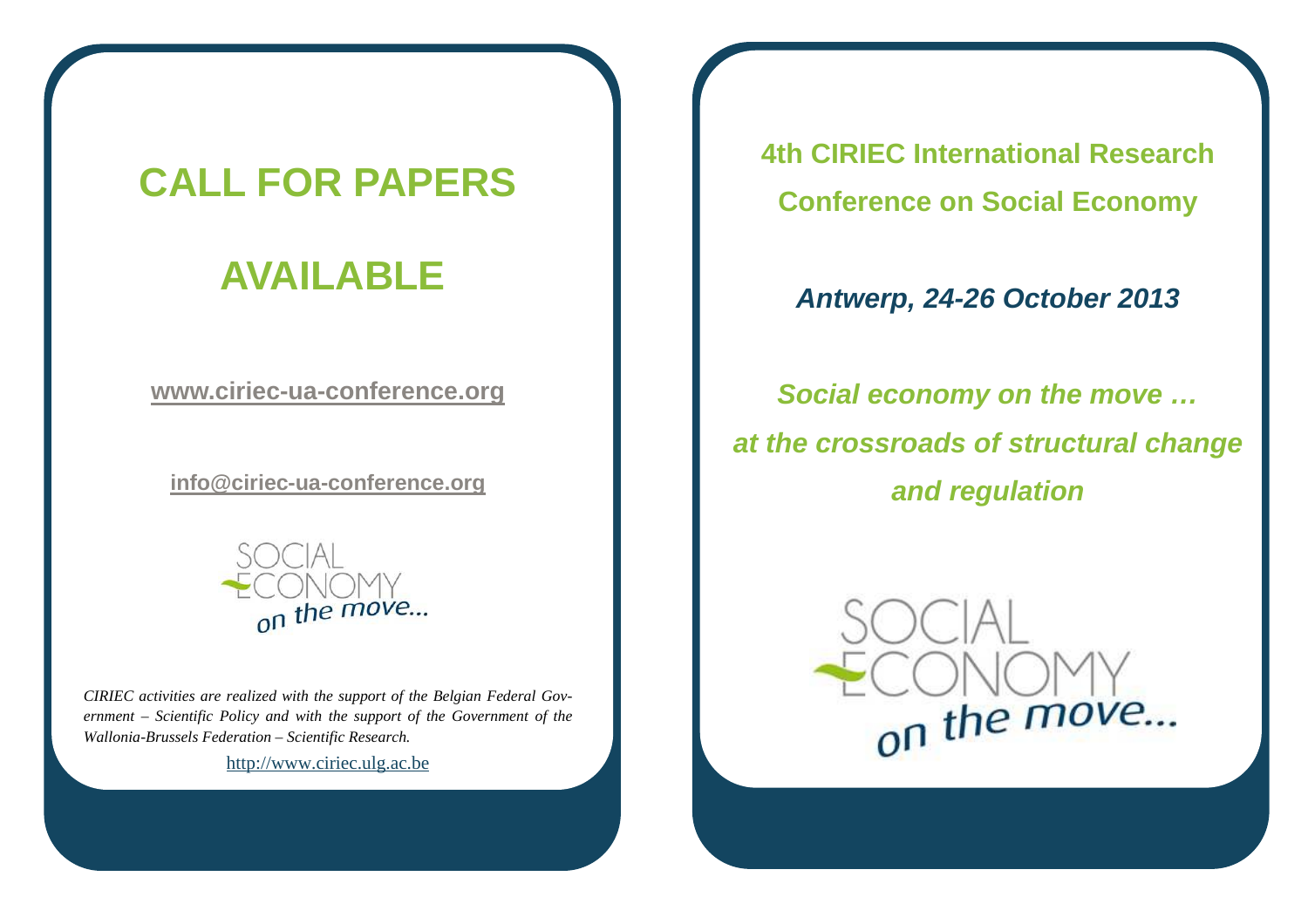## **CALL FOR PAPERS**

## **AVAILABLE**

**www.ciriec-ua-conference.org** 

**info@ciriec-ua-conference.org**



*CIRIEC activities are realized with the support of the Belgian Federal Government – Scientific Policy and with the support of the Government of the Wallonia-Brussels Federation – Scientific Research.*

http://www.ciriec.ulg.ac.be

**4th CIRIEC International Research Conference on Social Economy** 

## **Antwerp, 24-26 October 2013**

**Social economy on the move … at the crossroads of structural change and regulation**